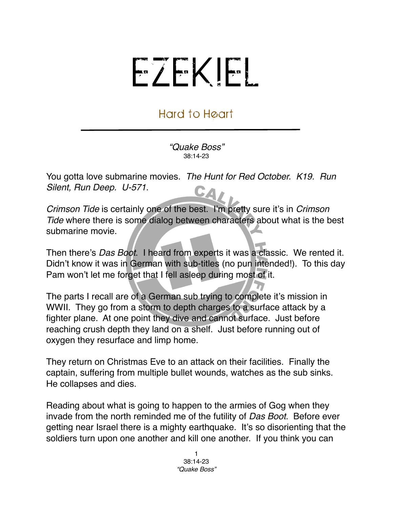## EZEKIEL

## Hard to Heart

*"Quake Boss"* 38:14-23

You gotta love submarine movies. *The Hunt for Red October. K19. Run Silent, Run Deep. U-571.* CA

*Crimson Tide* is certainly one of the best. I'm pretty sure it's in *Crimson Tide* where there is some dialog between characters about what is the best submarine movie.

Then there's *Das Boot*. I heard from experts it was a classic. We rented it. Didn't know it was in German with sub-titles (no pun intended!). To this day Pam won't let me forget that I fell asleep during most of it.

The parts I recall are of a German sub trying to complete it's mission in WWII. They go from a storm to depth charges to a surface attack by a fighter plane. At one point they dive and cannot surface. Just before reaching crush depth they land on a shelf. Just before running out of oxygen they resurface and limp home.

They return on Christmas Eve to an attack on their facilities. Finally the captain, suffering from multiple bullet wounds, watches as the sub sinks. He collapses and dies.

Reading about what is going to happen to the armies of Gog when they invade from the north reminded me of the futility of *Das Boot*. Before ever getting near Israel there is a mighty earthquake. It's so disorienting that the soldiers turn upon one another and kill one another. If you think you can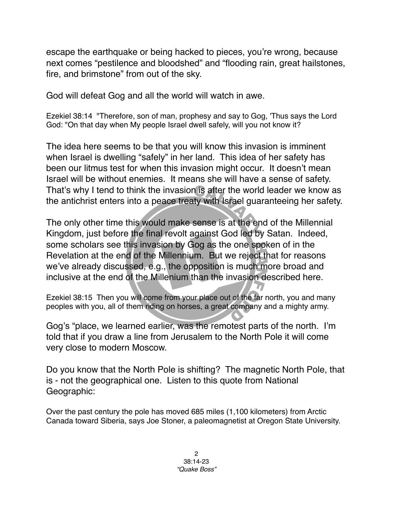escape the earthquake or being hacked to pieces, you're wrong, because next comes "pestilence and bloodshed" and "flooding rain, great hailstones, fire, and brimstone" from out of the sky.

God will defeat Gog and all the world will watch in awe.

Ezekiel 38:14 "Therefore, son of man, prophesy and say to Gog, 'Thus says the Lord God: "On that day when My people Israel dwell safely, will you not know it?

The idea here seems to be that you will know this invasion is imminent when Israel is dwelling "safely" in her land. This idea of her safety has been our litmus test for when this invasion might occur. It doesn't mean Israel will be without enemies. It means she will have a sense of safety. That's why I tend to think the invasion is after the world leader we know as the antichrist enters into a peace treaty with Israel guaranteeing her safety.

The only other time this would make sense is at the end of the Millennial Kingdom, just before the final revolt against God led by Satan. Indeed, some scholars see this invasion by Gog as the one spoken of in the Revelation at the end of the Millennium. But we reject that for reasons we've already discussed, e.g., the opposition is much more broad and inclusive at the end of the Millenium than the invasion described here.

Ezekiel 38:15 Then you will come from your place out of the far north, you and many peoples with you, all of them riding on horses, a great company and a mighty army.

Gog's "place, we learned earlier, was the remotest parts of the north. I'm told that if you draw a line from Jerusalem to the North Pole it will come very close to modern Moscow.

Do you know that the North Pole is shifting? The magnetic North Pole, that is - not the geographical one. Listen to this quote from National Geographic:

Over the past century the pole has moved 685 miles (1,100 kilometers) from Arctic Canada toward Siberia, says Joe Stoner, a paleomagnetist at Oregon State University.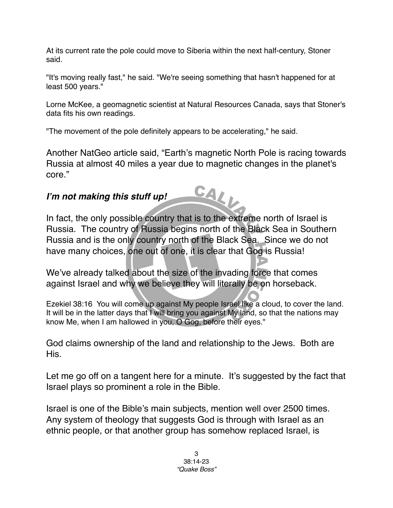At its current rate the pole could move to Siberia within the next half-century, Stoner said.

"It's moving really fast," he said. "We're seeing something that hasn't happened for at least 500 years."

Lorne McKee, a geomagnetic scientist at Natural Resources Canada, says that Stoner's data fits his own readings.

"The movement of the pole definitely appears to be accelerating," he said.

Another NatGeo article said, "Earth's magnetic North Pole is racing towards Russia at almost 40 miles a year due to magnetic changes in the planet's core."

CALL

## *I***'***m not making this stuff up!*

In fact, the only possible country that is to the extreme north of Israel is Russia. The country of Russia begins north of the Black Sea in Southern Russia and is the only country north of the Black Sea. Since we do not have many choices, one out of one, it is clear that Gog is Russia!

We've already talked about the size of the invading force that comes against Israel and why we believe they will literally be on horseback.

Ezekiel 38:16 You will come up against My people Israel like a cloud, to cover the land. It will be in the latter days that I will bring you against My land, so that the nations may know Me, when I am hallowed in you, O Gog, before their eyes."

God claims ownership of the land and relationship to the Jews. Both are His.

Let me go off on a tangent here for a minute. It's suggested by the fact that Israel plays so prominent a role in the Bible.

Israel is one of the Bible's main subjects, mention well over 2500 times. Any system of theology that suggests God is through with Israel as an ethnic people, or that another group has somehow replaced Israel, is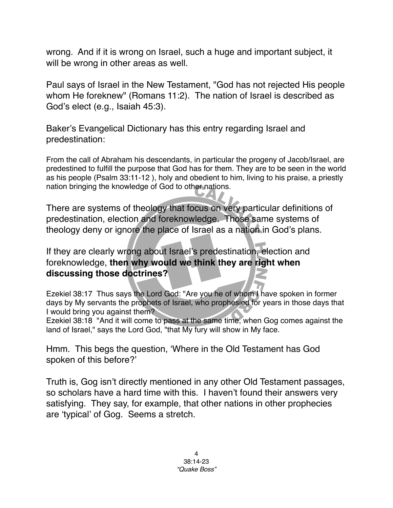wrong. And if it is wrong on Israel, such a huge and important subject, it will be wrong in other areas as well.

Paul says of Israel in the New Testament, "God has not rejected His people whom He foreknew" (Romans 11:2). The nation of Israel is described as God's elect (e.g., Isaiah 45:3).

Baker's Evangelical Dictionary has this entry regarding Israel and predestination:

From the call of Abraham his descendants, in particular the progeny of Jacob/Israel, are predestined to fulfill the purpose that God has for them. They are to be seen in the world as his people (Psalm 33:11-12 ), holy and obedient to him, living to his praise, a priestly nation bringing the knowledge of God to other nations.

There are systems of theology that focus on very particular definitions of predestination, election and foreknowledge. Those same systems of theology deny or ignore the place of Israel as a nation in God's plans.

If they are clearly wrong about Israel's predestination, election and foreknowledge, **then why would we think they are right when discussing those doctrines?**

Ezekiel 38:17 Thus says the Lord God: "Are you he of whom I have spoken in former days by My servants the prophets of Israel, who prophesied for years in those days that I would bring you against them?

Ezekiel 38:18 "And it will come to pass at the same time, when Gog comes against the land of Israel," says the Lord God, "that My fury will show in My face.

Hmm. This begs the question, ʻWhere in the Old Testament has God spoken of this before?'

Truth is, Gog isn't directly mentioned in any other Old Testament passages, so scholars have a hard time with this. I haven't found their answers very satisfying. They say, for example, that other nations in other prophecies are ʻtypical' of Gog. Seems a stretch.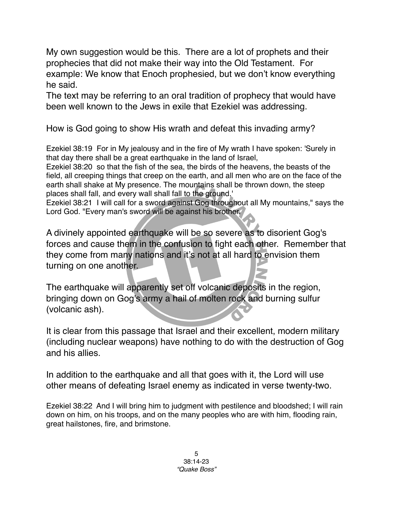My own suggestion would be this. There are a lot of prophets and their prophecies that did not make their way into the Old Testament. For example: We know that Enoch prophesied, but we don't know everything he said.

The text may be referring to an oral tradition of prophecy that would have been well known to the Jews in exile that Ezekiel was addressing.

How is God going to show His wrath and defeat this invading army?

Ezekiel 38:19 For in My jealousy and in the fire of My wrath I have spoken: 'Surely in that day there shall be a great earthquake in the land of Israel,

Ezekiel 38:20 so that the fish of the sea, the birds of the heavens, the beasts of the field, all creeping things that creep on the earth, and all men who are on the face of the earth shall shake at My presence. The mountains shall be thrown down, the steep places shall fall, and every wall shall fall to the ground.'

Ezekiel 38:21 I will call for a sword against Gog throughout all My mountains," says the Lord God. "Every man's sword will be against his brother.

A divinely appointed earthquake will be so severe as to disorient Gog's forces and cause them in the confusion to fight each other. Remember that they come from many nations and it's not at all hard to envision them turning on one another.

The earthquake will apparently set off volcanic deposits in the region, bringing down on Gog's army a hail of molten rock and burning sulfur (volcanic ash).

It is clear from this passage that Israel and their excellent, modern military (including nuclear weapons) have nothing to do with the destruction of Gog and his allies.

In addition to the earthquake and all that goes with it, the Lord will use other means of defeating Israel enemy as indicated in verse twenty-two.

Ezekiel 38:22 And I will bring him to judgment with pestilence and bloodshed; I will rain down on him, on his troops, and on the many peoples who are with him, flooding rain, great hailstones, fire, and brimstone.